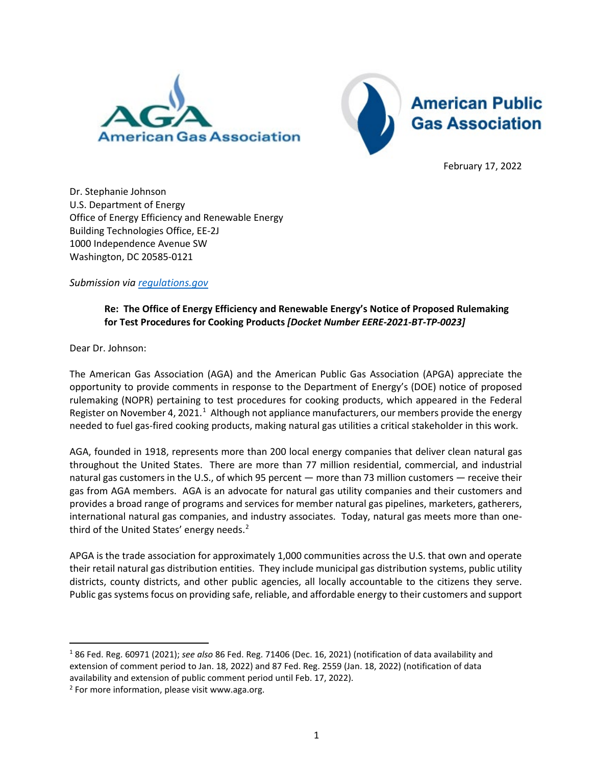



February 17, 2022

Dr. Stephanie Johnson U.S. Department of Energy Office of Energy Efficiency and Renewable Energy Building Technologies Office, EE-2J 1000 Independence Avenue SW Washington, DC 20585-0121

*Submission via [regulations.gov](https://americanpublicgas-my.sharepoint.com/personal/rlani_apga_org/Documents/Codes%20&%20Standards/DOE/regulations.gov)*

## **Re: The Office of Energy Efficiency and Renewable Energy's Notice of Proposed Rulemaking for Test Procedures for Cooking Products** *[Docket Number EERE-2021-BT-TP-0023]*

Dear Dr. Johnson:

The American Gas Association (AGA) and the American Public Gas Association (APGA) appreciate the opportunity to provide comments in response to the Department of Energy's (DOE) notice of proposed rulemaking (NOPR) pertaining to test procedures for cooking products, which appeared in the Federal Register on November 4, 202[1](#page-0-0).<sup>1</sup> Although not appliance manufacturers, our members provide the energy needed to fuel gas-fired cooking products, making natural gas utilities a critical stakeholder in this work.

AGA, founded in 1918, represents more than 200 local energy companies that deliver clean natural gas throughout the United States. There are more than 77 million residential, commercial, and industrial natural gas customers in the U.S., of which 95 percent — more than 73 million customers — receive their gas from AGA members. AGA is an advocate for natural gas utility companies and their customers and provides a broad range of programs and services for member natural gas pipelines, marketers, gatherers, international natural gas companies, and industry associates. Today, natural gas meets more than one-third of the United States' energy needs.<sup>[2](#page-0-1)</sup>

APGA is the trade association for approximately 1,000 communities across the U.S. that own and operate their retail natural gas distribution entities. They include municipal gas distribution systems, public utility districts, county districts, and other public agencies, all locally accountable to the citizens they serve. Public gas systems focus on providing safe, reliable, and affordable energy to their customers and support

<span id="page-0-0"></span><sup>1</sup> 86 Fed. Reg. 60971 (2021); *see also* 86 Fed. Reg. 71406 (Dec. 16, 2021) (notification of data availability and extension of comment period to Jan. 18, 2022) and 87 Fed. Reg. 2559 (Jan. 18, 2022) (notification of data availability and extension of public comment period until Feb. 17, 2022).

<span id="page-0-1"></span><sup>&</sup>lt;sup>2</sup> For more information, please visit www.aga.org.